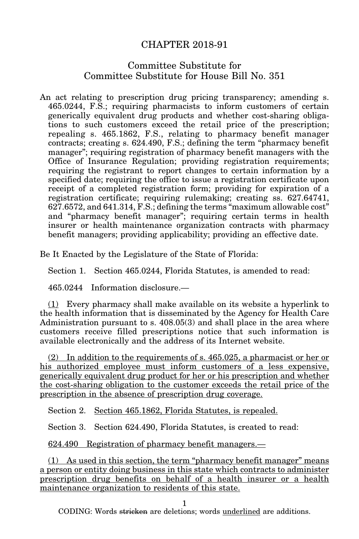## CHAPTER 2018-91

## Committee Substitute for Committee Substitute for House Bill No. 351

An act relating to prescription drug pricing transparency; amending s. 465.0244, F.S.; requiring pharmacists to inform customers of certain generically equivalent drug products and whether cost-sharing obligations to such customers exceed the retail price of the prescription; repealing s. 465.1862, F.S., relating to pharmacy benefit manager contracts; creating s. 624.490, F.S.; defining the term "pharmacy benefit manager"; requiring registration of pharmacy benefit managers with the Office of Insurance Regulation; providing registration requirements; requiring the registrant to report changes to certain information by a specified date; requiring the office to issue a registration certificate upon receipt of a completed registration form; providing for expiration of a registration certificate; requiring rulemaking; creating ss. 627.64741, 627.6572, and 641.314, F.S.; defining the terms "maximum allowable cost" and "pharmacy benefit manager"; requiring certain terms in health insurer or health maintenance organization contracts with pharmacy benefit managers; providing applicability; providing an effective date.

Be It Enacted by the Legislature of the State of Florida:

Section 1. Section 465.0244, Florida Statutes, is amended to read:

465.0244 Information disclosure.—

(1) Every pharmacy shall make available on its website a hyperlink to the health information that is disseminated by the Agency for Health Care Administration pursuant to s. 408.05(3) and shall place in the area where customers receive filled prescriptions notice that such information is available electronically and the address of its Internet website.

(2) In addition to the requirements of s. 465.025, a pharmacist or her or his authorized employee must inform customers of a less expensive, generically equivalent drug product for her or his prescription and whether the cost-sharing obligation to the customer exceeds the retail price of the prescription in the absence of prescription drug coverage.

Section 2. Section 465.1862, Florida Statutes, is repealed.

Section 3. Section 624.490, Florida Statutes, is created to read:

624.490 Registration of pharmacy benefit managers.—

(1) As used in this section, the term "pharmacy benefit manager" means a person or entity doing business in this state which contracts to administer prescription drug benefits on behalf of a health insurer or a health maintenance organization to residents of this state.

1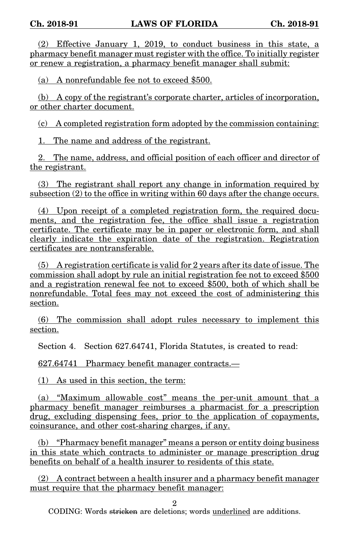(2) Effective January 1, 2019, to conduct business in this state, a pharmacy benefit manager must register with the office. To initially register or renew a registration, a pharmacy benefit manager shall submit:

(a) A nonrefundable fee not to exceed \$500.

(b) A copy of the registrant's corporate charter, articles of incorporation, or other charter document.

(c) A completed registration form adopted by the commission containing:

1. The name and address of the registrant.

2. The name, address, and official position of each officer and director of the registrant.

(3) The registrant shall report any change in information required by subsection (2) to the office in writing within 60 days after the change occurs.

(4) Upon receipt of a completed registration form, the required documents, and the registration fee, the office shall issue a registration certificate. The certificate may be in paper or electronic form, and shall clearly indicate the expiration date of the registration. Registration certificates are nontransferable.

(5) A registration certificate is valid for 2 years after its date of issue. The commission shall adopt by rule an initial registration fee not to exceed \$500 and a registration renewal fee not to exceed \$500, both of which shall be nonrefundable. Total fees may not exceed the cost of administering this section.

(6) The commission shall adopt rules necessary to implement this section.

Section 4. Section 627.64741, Florida Statutes, is created to read:

627.64741 Pharmacy benefit manager contracts.—

(1) As used in this section, the term:

(a) "Maximum allowable cost" means the per-unit amount that a pharmacy benefit manager reimburses a pharmacist for a prescription drug, excluding dispensing fees, prior to the application of copayments, coinsurance, and other cost-sharing charges, if any.

(b) "Pharmacy benefit manager" means a person or entity doing business in this state which contracts to administer or manage prescription drug benefits on behalf of a health insurer to residents of this state.

(2) A contract between a health insurer and a pharmacy benefit manager must require that the pharmacy benefit manager:

2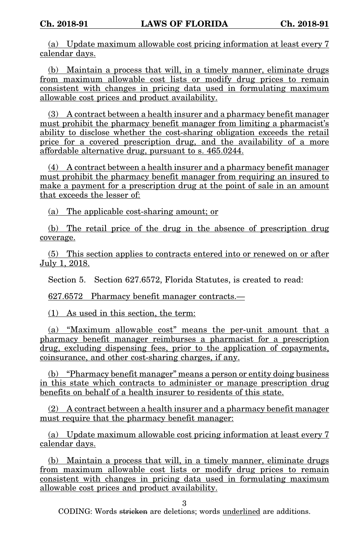(a) Update maximum allowable cost pricing information at least every 7 calendar days.

(b) Maintain a process that will, in a timely manner, eliminate drugs from maximum allowable cost lists or modify drug prices to remain consistent with changes in pricing data used in formulating maximum allowable cost prices and product availability.

(3) A contract between a health insurer and a pharmacy benefit manager must prohibit the pharmacy benefit manager from limiting a pharmacist's ability to disclose whether the cost-sharing obligation exceeds the retail price for a covered prescription drug, and the availability of a more affordable alternative drug, pursuant to s. 465.0244.

(4) A contract between a health insurer and a pharmacy benefit manager must prohibit the pharmacy benefit manager from requiring an insured to make a payment for a prescription drug at the point of sale in an amount that exceeds the lesser of:

(a) The applicable cost-sharing amount; or

(b) The retail price of the drug in the absence of prescription drug coverage.

(5) This section applies to contracts entered into or renewed on or after July 1, 2018.

Section 5. Section 627.6572, Florida Statutes, is created to read:

627.6572 Pharmacy benefit manager contracts.—

(1) As used in this section, the term:

(a) "Maximum allowable cost" means the per-unit amount that a pharmacy benefit manager reimburses a pharmacist for a prescription drug, excluding dispensing fees, prior to the application of copayments, coinsurance, and other cost-sharing charges, if any.

(b) "Pharmacy benefit manager" means a person or entity doing business in this state which contracts to administer or manage prescription drug benefits on behalf of a health insurer to residents of this state.

(2) A contract between a health insurer and a pharmacy benefit manager must require that the pharmacy benefit manager:

(a) Update maximum allowable cost pricing information at least every 7 calendar days.

(b) Maintain a process that will, in a timely manner, eliminate drugs from maximum allowable cost lists or modify drug prices to remain consistent with changes in pricing data used in formulating maximum allowable cost prices and product availability.

3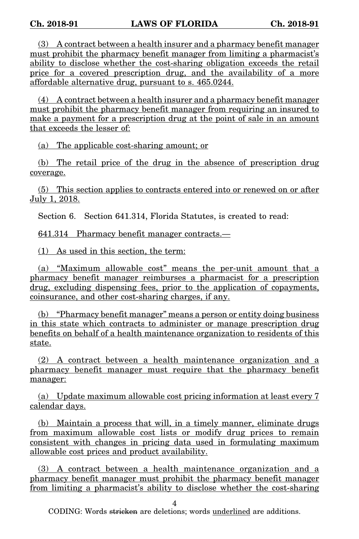(3) A contract between a health insurer and a pharmacy benefit manager must prohibit the pharmacy benefit manager from limiting a pharmacist's ability to disclose whether the cost-sharing obligation exceeds the retail price for a covered prescription drug, and the availability of a more affordable alternative drug, pursuant to s. 465.0244.

(4) A contract between a health insurer and a pharmacy benefit manager must prohibit the pharmacy benefit manager from requiring an insured to make a payment for a prescription drug at the point of sale in an amount that exceeds the lesser of:

(a) The applicable cost-sharing amount; or

(b) The retail price of the drug in the absence of prescription drug coverage.

(5) This section applies to contracts entered into or renewed on or after July 1, 2018.

Section 6. Section 641.314, Florida Statutes, is created to read:

641.314 Pharmacy benefit manager contracts.—

(1) As used in this section, the term:

(a) "Maximum allowable cost" means the per-unit amount that a pharmacy benefit manager reimburses a pharmacist for a prescription drug, excluding dispensing fees, prior to the application of copayments, coinsurance, and other cost-sharing charges, if any.

(b) "Pharmacy benefit manager" means a person or entity doing business in this state which contracts to administer or manage prescription drug benefits on behalf of a health maintenance organization to residents of this state.

(2) A contract between a health maintenance organization and a pharmacy benefit manager must require that the pharmacy benefit manager:

(a) Update maximum allowable cost pricing information at least every 7 calendar days.

(b) Maintain a process that will, in a timely manner, eliminate drugs from maximum allowable cost lists or modify drug prices to remain consistent with changes in pricing data used in formulating maximum allowable cost prices and product availability.

(3) A contract between a health maintenance organization and a pharmacy benefit manager must prohibit the pharmacy benefit manager from limiting a pharmacist's ability to disclose whether the cost-sharing

4